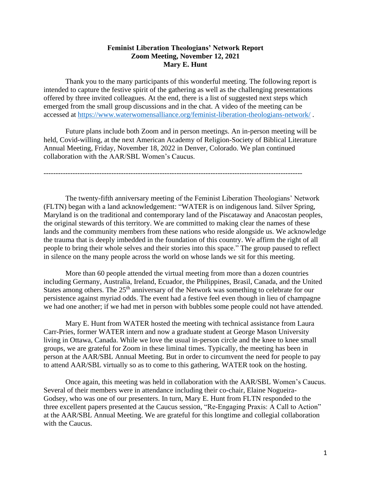## **Feminist Liberation Theologians' Network Report Zoom Meeting, November 12, 2021 Mary E. Hunt**

Thank you to the many participants of this wonderful meeting. The following report is intended to capture the festive spirit of the gathering as well as the challenging presentations offered by three invited colleagues. At the end, there is a list of suggested next steps which emerged from the small group discussions and in the chat. A video of the meeting can be accessed at <https://www.waterwomensalliance.org/feminist-liberation-theologians-network/> .

Future plans include both Zoom and in person meetings. An in-person meeting will be held, Covid-willing, at the next American Academy of Religion-Society of Biblical Literature Annual Meeting, Friday, November 18, 2022 in Denver, Colorado. We plan continued collaboration with the AAR/SBL Women's Caucus.

-----------------------------------------------------------------------------------------------------------

The twenty-fifth anniversary meeting of the Feminist Liberation Theologians' Network (FLTN) began with a land acknowledgement: "WATER is on indigenous land. Silver Spring, Maryland is on the traditional and contemporary land of the Piscataway and Anacostan peoples, the original stewards of this territory. We are committed to making clear the names of these lands and the community members from these nations who reside alongside us. We acknowledge the trauma that is deeply imbedded in the foundation of this country. We affirm the right of all people to bring their whole selves and their stories into this space." The group paused to reflect in silence on the many people across the world on whose lands we sit for this meeting.

More than 60 people attended the virtual meeting from more than a dozen countries including Germany, Australia, Ireland, Ecuador, the Philippines, Brasil, Canada, and the United States among others. The 25<sup>th</sup> anniversary of the Network was something to celebrate for our persistence against myriad odds. The event had a festive feel even though in lieu of champagne we had one another; if we had met in person with bubbles some people could not have attended.

Mary E. Hunt from WATER hosted the meeting with technical assistance from Laura Carr-Pries, former WATER intern and now a graduate student at George Mason University living in Ottawa, Canada. While we love the usual in-person circle and the knee to knee small groups, we are grateful for Zoom in these liminal times. Typically, the meeting has been in person at the AAR/SBL Annual Meeting. But in order to circumvent the need for people to pay to attend AAR/SBL virtually so as to come to this gathering, WATER took on the hosting.

Once again, this meeting was held in collaboration with the AAR/SBL Women's Caucus. Several of their members were in attendance including their co-chair, Elaine Nogueira-Godsey, who was one of our presenters. In turn, Mary E. Hunt from FLTN responded to the three excellent papers presented at the Caucus session, "Re-Engaging Praxis: A Call to Action" at the AAR/SBL Annual Meeting. We are grateful for this longtime and collegial collaboration with the Caucus.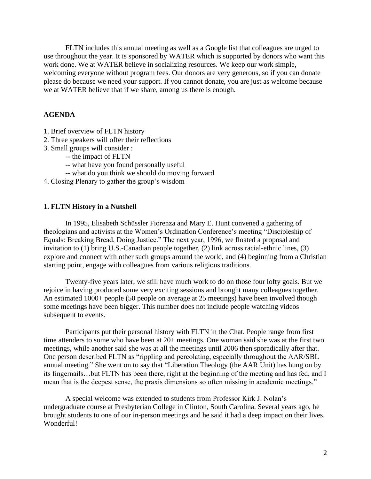FLTN includes this annual meeting as well as a Google list that colleagues are urged to use throughout the year. It is sponsored by WATER which is supported by donors who want this work done. We at WATER believe in socializing resources. We keep our work simple, welcoming everyone without program fees. Our donors are very generous, so if you can donate please do because we need your support. If you cannot donate, you are just as welcome because we at WATER believe that if we share, among us there is enough.

## **AGENDA**

- 1. Brief overview of FLTN history
- 2. Three speakers will offer their reflections
- 3. Small groups will consider :
	- -- the impact of FLTN
	- -- what have you found personally useful
	- -- what do you think we should do moving forward
- 4. Closing Plenary to gather the group's wisdom

#### **1. FLTN History in a Nutshell**

In 1995, Elisabeth Schüssler Fiorenza and Mary E. Hunt convened a gathering of theologians and activists at the Women's Ordination Conference's meeting "Discipleship of Equals: Breaking Bread, Doing Justice." The next year, 1996, we floated a proposal and invitation to (1) bring U.S.-Canadian people together, (2) link across racial-ethnic lines, (3) explore and connect with other such groups around the world, and (4) beginning from a Christian starting point, engage with colleagues from various religious traditions.

Twenty-five years later, we still have much work to do on those four lofty goals. But we rejoice in having produced some very exciting sessions and brought many colleagues together. An estimated 1000+ people (50 people on average at 25 meetings) have been involved though some meetings have been bigger. This number does not include people watching videos subsequent to events.

Participants put their personal history with FLTN in the Chat. People range from first time attenders to some who have been at 20+ meetings. One woman said she was at the first two meetings, while another said she was at all the meetings until 2006 then sporadically after that. One person described FLTN as "rippling and percolating, especially throughout the AAR/SBL annual meeting." She went on to say that "Liberation Theology (the AAR Unit) has hung on by its fingernails…but FLTN has been there, right at the beginning of the meeting and has fed, and I mean that is the deepest sense, the praxis dimensions so often missing in academic meetings."

A special welcome was extended to students from Professor Kirk J. Nolan's undergraduate course at Presbyterian College in Clinton, South Carolina. Several years ago, he brought students to one of our in-person meetings and he said it had a deep impact on their lives. Wonderful!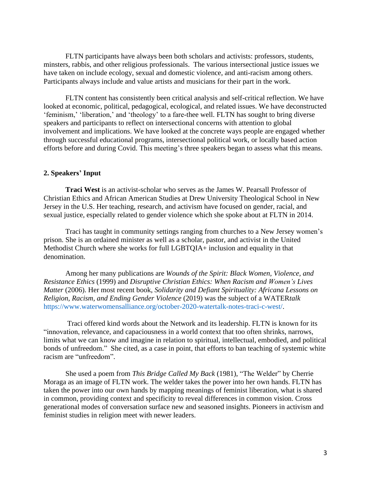FLTN participants have always been both scholars and activists: professors, students, minsters, rabbis, and other religious professionals. The various intersectional justice issues we have taken on include ecology, sexual and domestic violence, and anti-racism among others. Participants always include and value artists and musicians for their part in the work.

FLTN content has consistently been critical analysis and self-critical reflection. We have looked at economic, political, pedagogical, ecological, and related issues. We have deconstructed 'feminism,' 'liberation,' and 'theology' to a fare-thee well. FLTN has sought to bring diverse speakers and participants to reflect on intersectional concerns with attention to global involvement and implications. We have looked at the concrete ways people are engaged whether through successful educational programs, intersectional political work, or locally based action efforts before and during Covid. This meeting's three speakers began to assess what this means.

### **2. Speakers' Input**

**Traci West** is an activist-scholar who serves as the James W. Pearsall Professor of Christian Ethics and African American Studies at Drew University Theological School in New Jersey in the U.S. Her teaching, research, and activism have focused on gender, racial, and sexual justice, especially related to gender violence which she spoke about at FLTN in 2014.

Traci has taught in community settings ranging from churches to a New Jersey women's prison. She is an ordained minister as well as a scholar, pastor, and activist in the United Methodist Church where she works for full LGBTQIA+ inclusion and equality in that denomination.

Among her many publications are *Wounds of the Spirit: Black Women, Violence, and Resistance Ethics* (1999) and *Disruptive Christian Ethics: When Racism and Women's Lives Matter* (2006). Her most recent book, *Solidarity and Defiant Spirituality: Africana Lessons on Religion, Racism, and Ending Gender Violence* (2019) was the subject of a WATER*talk* [https://www.waterwomensalliance.org/october-2020-watertalk-notes-traci-c-west/.](https://www.waterwomensalliance.org/october-2020-watertalk-notes-traci-c-west/)

Traci offered kind words about the Network and its leadership. FLTN is known for its "innovation, relevance, and capaciousness in a world context that too often shrinks, narrows, limits what we can know and imagine in relation to spiritual, intellectual, embodied, and political bonds of unfreedom." She cited, as a case in point, that efforts to ban teaching of systemic white racism are "unfreedom".

She used a poem from *This Bridge Called My Back* (1981), "The Welder" by Cherrie Moraga as an image of FLTN work. The welder takes the power into her own hands. FLTN has taken the power into our own hands by mapping meanings of feminist liberation, what is shared in common, providing context and specificity to reveal differences in common vision. Cross generational modes of conversation surface new and seasoned insights. Pioneers in activism and feminist studies in religion meet with newer leaders.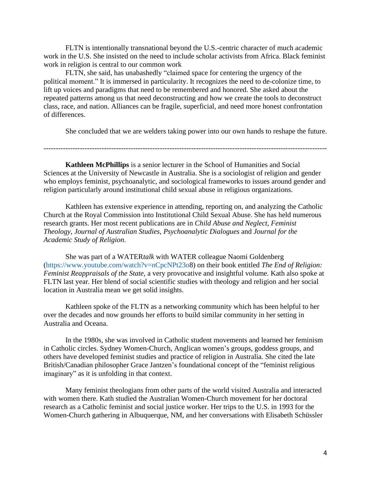FLTN is intentionally transnational beyond the U.S.-centric character of much academic work in the U.S. She insisted on the need to include scholar activists from Africa. Black feminist work in religion is central to our common work

FLTN, she said, has unabashedly "claimed space for centering the urgency of the political moment." It is immersed in particularity. It recognizes the need to de-colonize time, to lift up voices and paradigms that need to be remembered and honored. She asked about the repeated patterns among us that need deconstructing and how we create the tools to deconstruct class, race, and nation. Alliances can be fragile, superficial, and need more honest confrontation of differences.

She concluded that we are welders taking power into our own hands to reshape the future.

---------------------------------------------------------------------------------------------------------------------

**Kathleen McPhillips** is a senior lecturer in the School of Humanities and Social Sciences at the University of Newcastle in Australia. She is a sociologist of religion and gender who employs feminist, psychoanalytic, and sociological frameworks to issues around gender and religion particularly around institutional child sexual abuse in religious organizations.

Kathleen has extensive experience in attending, reporting on, and analyzing the Catholic Church at the Royal Commission into Institutional Child Sexual Abuse. She has held numerous research grants. Her most recent publications are in *Child Abuse and Neglect*, *Feminist Theology*, *Journal of Australian Studies*, *Psychoanalytic Dialogues* and *Journal for the Academic Study of Religion*.

She was part of a WATER*talk* with WATER colleague Naomi Goldenberg [\(https://www.youtube.com/watch?v=nCpcNPt23o8](https://www.youtube.com/watch?v=nCpcNPt23o)) on their book entitled *The End of Religion: Feminist Reappraisals of the State,* a very provocative and insightful volume. Kath also spoke at FLTN last year. Her blend of social scientific studies with theology and religion and her social location in Australia mean we get solid insights.

Kathleen spoke of the FLTN as a networking community which has been helpful to her over the decades and now grounds her efforts to build similar community in her setting in Australia and Oceana.

In the 1980s, she was involved in Catholic student movements and learned her feminism in Catholic circles. Sydney Women-Church, Anglican women's groups, goddess groups, and others have developed feminist studies and practice of religion in Australia. She cited the late British/Canadian philosopher Grace Jantzen's foundational concept of the "feminist religious imaginary" as it is unfolding in that context.

Many feminist theologians from other parts of the world visited Australia and interacted with women there. Kath studied the Australian Women-Church movement for her doctoral research as a Catholic feminist and social justice worker. Her trips to the U.S. in 1993 for the Women-Church gathering in Albuquerque, NM, and her conversations with Elisabeth Schüssler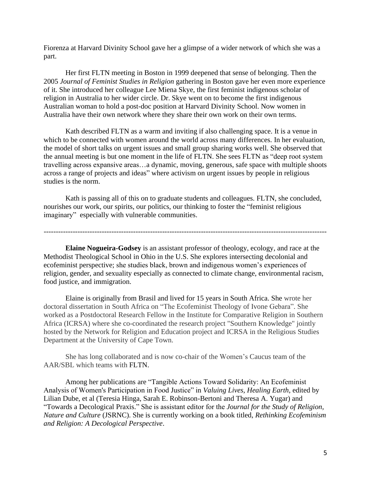Fiorenza at Harvard Divinity School gave her a glimpse of a wider network of which she was a part.

Her first FLTN meeting in Boston in 1999 deepened that sense of belonging. Then the 2005 *Journal of Feminist Studies in Religion* gathering in Boston gave her even more experience of it. She introduced her colleague Lee Miena Skye, the first feminist indigenous scholar of religion in Australia to her wider circle. Dr. Skye went on to become the first indigenous Australian woman to hold a post-doc position at Harvard Divinity School. Now women in Australia have their own network where they share their own work on their own terms.

Kath described FLTN as a warm and inviting if also challenging space. It is a venue in which to be connected with women around the world across many differences. In her evaluation, the model of short talks on urgent issues and small group sharing works well. She observed that the annual meeting is but one moment in the life of FLTN. She sees FLTN as "deep root system travelling across expansive areas…a dynamic, moving, generous, safe space with multiple shoots across a range of projects and ideas" where activism on urgent issues by people in religious studies is the norm.

Kath is passing all of this on to graduate students and colleagues. FLTN, she concluded, nourishes our work, our spirits, our politics, our thinking to foster the "feminist religious imaginary" especially with vulnerable communities.

---------------------------------------------------------------------------------------------------------------------

**Elaine Nogueira-Godsey** is an assistant professor of theology, ecology, and race at the Methodist Theological School in Ohio in the U.S. She explores intersecting decolonial and ecofeminist perspective; she studies black, brown and indigenous women's experiences of religion, gender, and sexuality especially as connected to climate change, environmental racism, food justice, and immigration.

Elaine is originally from Brasil and lived for 15 years in South Africa. She wrote her doctoral dissertation in South Africa on "The Ecofeminist Theology of Ivone Gebara". She worked as a Postdoctoral Research Fellow in the Institute for Comparative Religion in Southern Africa (ICRSA) where she co-coordinated the research project "Southern Knowledge" jointly hosted by the Network for Religion and Education project and ICRSA in the Religious Studies Department at the University of Cape Town.

She has long collaborated and is now co-chair of the Women's Caucus team of the AAR/SBL which teams with FLTN.

Among her publications are "Tangible Actions Toward Solidarity: An Ecofeminist Analysis of Women's Participation in Food Justice" in *Valuing Lives, Healing Earth*, edited by Lilian Dube, et al (Teresia Hinga, Sarah E. Robinson-Bertoni and Theresa A. Yugar) and "Towards a Decological Praxis." She is assistant editor for the *Journal for the Study of Religion, Nature and Culture* (JSRNC). She is currently working on a book titled, *Rethinking Ecofeminism and Religion: A Decological Perspective*.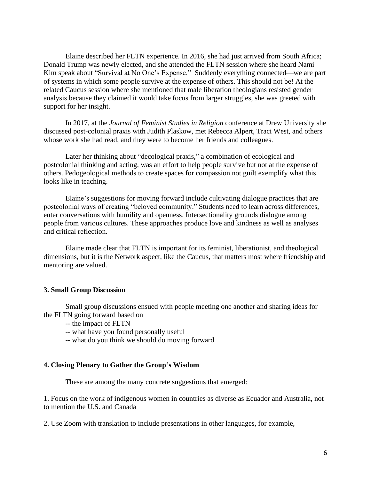Elaine described her FLTN experience. In 2016, she had just arrived from South Africa; Donald Trump was newly elected, and she attended the FLTN session where she heard Nami Kim speak about "Survival at No One's Expense." Suddenly everything connected—we are part of systems in which some people survive at the expense of others. This should not be! At the related Caucus session where she mentioned that male liberation theologians resisted gender analysis because they claimed it would take focus from larger struggles, she was greeted with support for her insight.

In 2017, at the *Journal of Feminist Studies in Religion* conference at Drew University she discussed post-colonial praxis with Judith Plaskow, met Rebecca Alpert, Traci West, and others whose work she had read, and they were to become her friends and colleagues.

Later her thinking about "decological praxis," a combination of ecological and postcolonial thinking and acting, was an effort to help people survive but not at the expense of others. Pedogeological methods to create spaces for compassion not guilt exemplify what this looks like in teaching.

Elaine's suggestions for moving forward include cultivating dialogue practices that are postcolonial ways of creating "beloved community." Students need to learn across differences, enter conversations with humility and openness. Intersectionality grounds dialogue among people from various cultures. These approaches produce love and kindness as well as analyses and critical reflection.

Elaine made clear that FLTN is important for its feminist, liberationist, and theological dimensions, but it is the Network aspect, like the Caucus, that matters most where friendship and mentoring are valued.

#### **3. Small Group Discussion**

Small group discussions ensued with people meeting one another and sharing ideas for the FLTN going forward based on

- -- the impact of FLTN
- -- what have you found personally useful
- -- what do you think we should do moving forward

#### **4. Closing Plenary to Gather the Group's Wisdom**

These are among the many concrete suggestions that emerged:

1. Focus on the work of indigenous women in countries as diverse as Ecuador and Australia, not to mention the U.S. and Canada

2. Use Zoom with translation to include presentations in other languages, for example,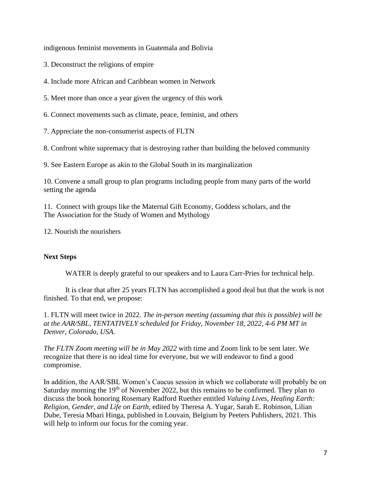indigenous feminist movements in Guatemala and Bolivia

3. Deconstruct the religions of empire

4. Include more African and Caribbean women in Network

5. Meet more than once a year given the urgency of this work

6. Connect movements such as climate, peace, feminist, and others

7. Appreciate the non-consumerist aspects of FLTN

8. Confront white supremacy that is destroying rather than building the beloved community

9. See Eastern Europe as akin to the Global South in its marginalization

10. Convene a small group to plan programs including people from many parts of the world setting the agenda

11. Connect with groups like the Maternal Gift Economy, Goddess scholars, and the The Association for the Study of Women and Mythology

12. Nourish the nourishers

## **Next Steps**

WATER is deeply grateful to our speakers and to Laura Carr-Pries for technical help.

It is clear that after 25 years FLTN has accomplished a good deal but that the work is not finished. To that end, we propose:

1. FLTN will meet twice in 2022. *The in-person meeting (assuming that this is possible) will be at the AAR/SBL, TENTATIVELY scheduled for Friday, November 18, 2022, 4-6 PM MT in Denver, Colorado, USA.* 

*The FLTN Zoom meeting will be in May 2022* with time and Zoom link to be sent later. We recognize that there is no ideal time for everyone, but we will endeavor to find a good compromise.

In addition, the AAR/SBL Women's Caucus session in which we collaborate will probably be on Saturday morning the 19<sup>th</sup> of November 2022, but this remains to be confirmed. They plan to discuss the book honoring Rosemary Radford Ruether entitled *Valuing Lives, Healing Earth: Religion, Gender, and Life on Earth*, edited by Theresa A. Yugar, Sarah E. Robinson, Lilian Dube, Teresia Mbari Hinga, published in Louvain, Belgium by Peeters Publishers, 2021. This will help to inform our focus for the coming year.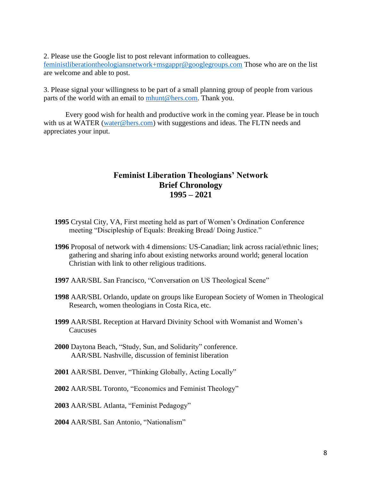2. Please use the Google list to post relevant information to colleagues. [feministliberationtheologiansnetwork+msgappr@googlegroups.com](mailto:feministliberationtheologiansnetwork+msgappr@googlegroups.com) Those who are on the list are welcome and able to post.

3. Please signal your willingness to be part of a small planning group of people from various parts of the world with an email to [mhunt@hers.com.](mailto:mhunt@hers.com) Thank you.

Every good wish for health and productive work in the coming year. Please be in touch with us at WATER [\(water@hers.com\)](mailto:water@hers.com) with suggestions and ideas. The FLTN needs and appreciates your input.

# **Feminist Liberation Theologians' Network Brief Chronology 1995 – 2021**

- **1995** Crystal City, VA, First meeting held as part of Women's Ordination Conference meeting "Discipleship of Equals: Breaking Bread/ Doing Justice."
- **1996** Proposal of network with 4 dimensions: US-Canadian; link across racial/ethnic lines; gathering and sharing info about existing networks around world; general location Christian with link to other religious traditions.
- **1997** AAR/SBL San Francisco, "Conversation on US Theological Scene"
- **1998** AAR/SBL Orlando, update on groups like European Society of Women in Theological Research, women theologians in Costa Rica, etc.
- **1999** AAR/SBL Reception at Harvard Divinity School with Womanist and Women's Caucuses
- **2000** Daytona Beach, "Study, Sun, and Solidarity" conference. AAR/SBL Nashville, discussion of feminist liberation
- **2001** AAR/SBL Denver, "Thinking Globally, Acting Locally"
- **2002** AAR/SBL Toronto, "Economics and Feminist Theology"
- **2003** AAR/SBL Atlanta, "Feminist Pedagogy"
- **2004** AAR/SBL San Antonio, "Nationalism"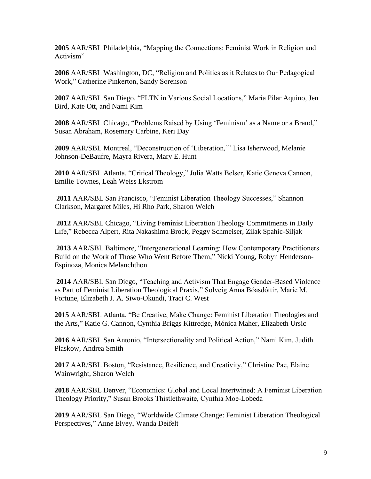**2005** AAR/SBL Philadelphia, "Mapping the Connections: Feminist Work in Religion and Activism"

**2006** AAR/SBL Washington, DC, "Religion and Politics as it Relates to Our Pedagogical Work," Catherine Pinkerton, Sandy Sorenson

**2007** AAR/SBL San Diego, "FLTN in Various Social Locations," Maria Pilar Aquino, Jen Bird, Kate Ott, and Nami Kim

**2008** AAR/SBL Chicago, "Problems Raised by Using 'Feminism' as a Name or a Brand," Susan Abraham, Rosemary Carbine, Keri Day

**2009** AAR/SBL Montreal, "Deconstruction of 'Liberation,'" Lisa Isherwood, Melanie Johnson-DeBaufre, Mayra Rivera, Mary E. Hunt

**2010** AAR/SBL Atlanta, "Critical Theology," Julia Watts Belser, Katie Geneva Cannon, Emilie Townes, Leah Weiss Ekstrom

**2011** AAR/SBL San Francisco, "Feminist Liberation Theology Successes," Shannon Clarkson, Margaret Miles, Hi Rho Park, Sharon Welch

**2012** AAR/SBL Chicago, "Living Feminist Liberation Theology Commitments in Daily Life," Rebecca Alpert, Rita Nakashima Brock, Peggy Schmeiser, Zilak Spahic-Siljak

**2013** AAR/SBL Baltimore, "Intergenerational Learning: How Contemporary Practitioners Build on the Work of Those Who Went Before Them," Nicki Young, Robyn Henderson-Espinoza, Monica Melanchthon

**2014** AAR/SBL San Diego, "Teaching and Activism That Engage Gender-Based Violence as Part of Feminist Liberation Theological Praxis," Solveig Anna Bóasdóttir, Marie M. Fortune, Elizabeth J. A. Siwo-Okundi, Traci C. West

**2015** AAR/SBL Atlanta, "Be Creative, Make Change: Feminist Liberation Theologies and the Arts," Katie G. Cannon, Cynthia Briggs Kittredge, Mónica Maher, Elizabeth Ursic

**2016** AAR/SBL San Antonio, "Intersectionality and Political Action," Nami Kim, Judith Plaskow, Andrea Smith

**2017** AAR/SBL Boston, "Resistance, Resilience, and Creativity," Christine Pae, Elaine Wainwright, Sharon Welch

**2018** AAR/SBL Denver, "Economics: Global and Local Intertwined: A Feminist Liberation Theology Priority," Susan Brooks Thistlethwaite, Cynthia Moe-Lobeda

**2019** AAR/SBL San Diego, "Worldwide Climate Change: Feminist Liberation Theological Perspectives," Anne Elvey, Wanda Deifelt